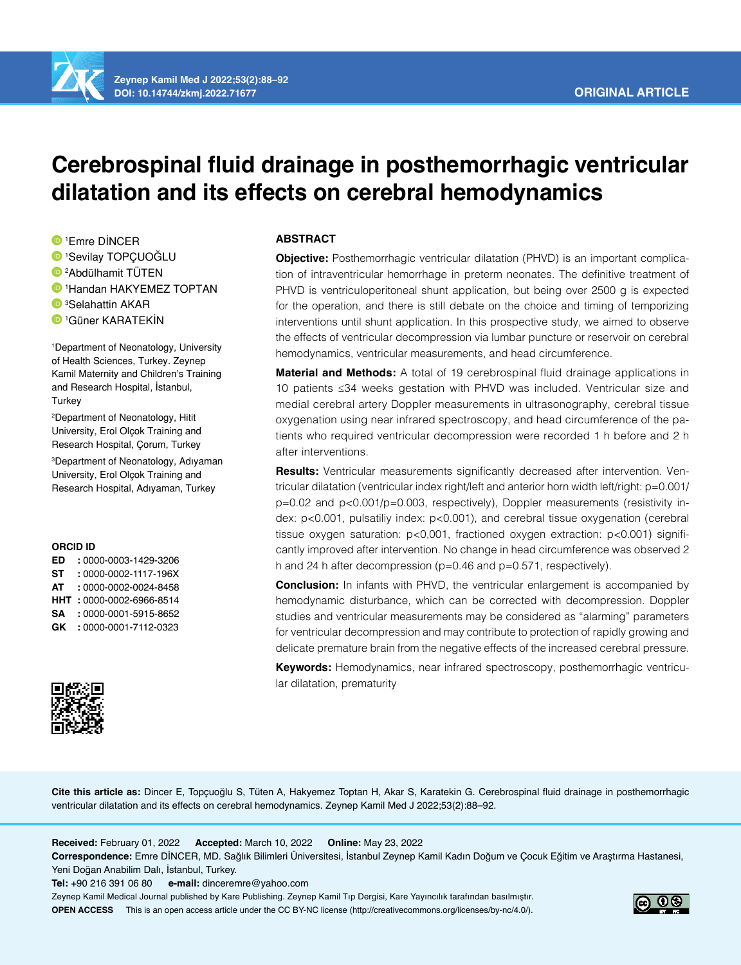

# **Cerebrospinal fluid drainage in posthemorrhagic ventricular dilatation and its effects on cerebral hemodynamics**

1 Emre DİNCER

1 Sevilay TOPÇUOĞLU

2 Abdülhamit TÜTEN

1 Handan HAKYEMEZ TOPTAN

3 Selahattin AKAR

1 Güner KARATEKİN

1 Department of Neonatology, University of Health Sciences, Turkey. Zeynep Kamil Maternity and Children's Training and Research Hospital, İstanbul, **Turkey** 

2 Department of Neonatology, Hitit University, Erol Olçok Training and Research Hospital, Çorum, Turkey

3 Department of Neonatology, Adıyaman University, Erol Olçok Training and Research Hospital, Adıyaman, Turkey

### **ORCID ID**

| ED  | : 0000-0003-1429-3206 |
|-----|-----------------------|
| SТ  | : 0000-0002-1117-196X |
| АΤ  | : 0000-0002-0024-8458 |
| ннт | : 0000-0002-6966-8514 |
| SΑ  | : 0000-0001-5915-8652 |
| GK  | : 0000-0001-7112-0323 |



## **ABSTRACT**

**Objective:** Posthemorrhagic ventricular dilatation (PHVD) is an important complication of intraventricular hemorrhage in preterm neonates. The definitive treatment of PHVD is ventriculoperitoneal shunt application, but being over 2500 g is expected for the operation, and there is still debate on the choice and timing of temporizing interventions until shunt application. In this prospective study, we aimed to observe the effects of ventricular decompression via lumbar puncture or reservoir on cerebral hemodynamics, ventricular measurements, and head circumference.

**Material and Methods:** A total of 19 cerebrospinal fluid drainage applications in 10 patients ≤34 weeks gestation with PHVD was included. Ventricular size and medial cerebral artery Doppler measurements in ultrasonography, cerebral tissue oxygenation using near infrared spectroscopy, and head circumference of the patients who required ventricular decompression were recorded 1 h before and 2 h after interventions.

**Results:** Ventricular measurements significantly decreased after intervention. Ventricular dilatation (ventricular index right/left and anterior horn width left/right: p=0.001/ p=0.02 and p<0.001/p=0.003, respectively), Doppler measurements (resistivity index: p<0.001, pulsatiliy index: p<0.001), and cerebral tissue oxygenation (cerebral tissue oxygen saturation: p<0,001, fractioned oxygen extraction: p<0.001) significantly improved after intervention. No change in head circumference was observed 2 h and 24 h after decompression (p=0.46 and p=0.571, respectively).

**Conclusion:** In infants with PHVD, the ventricular enlargement is accompanied by hemodynamic disturbance, which can be corrected with decompression. Doppler studies and ventricular measurements may be considered as "alarming" parameters for ventricular decompression and may contribute to protection of rapidly growing and delicate premature brain from the negative effects of the increased cerebral pressure.

**Keywords:** Hemodynamics, near infrared spectroscopy, posthemorrhagic ventricular dilatation, prematurity

**Cite this article as:** Dincer E, Topçuoğlu S, Tüten A, Hakyemez Toptan H, Akar S, Karatekin G. Cerebrospinal fluid drainage in posthemorrhagic ventricular dilatation and its effects on cerebral hemodynamics. Zeynep Kamil Med J 2022;53(2):88–92.

**Received:** February 01, 2022 **Accepted:** March 10, 2022 **Online:** May 23, 2022

**Correspondence:** Emre DİNCER, MD. Sağlık Bilimleri Üniversitesi, İstanbul Zeynep Kamil Kadın Doğum ve Çocuk Eğitim ve Araştırma Hastanesi, Yeni Doğan Anabilim Dalı, İstanbul, Turkey.

**Tel:** +90 216 391 06 80 **e-mail:** dinceremre@yahoo.com

Zeynep Kamil Medical Journal published by Kare Publishing. Zeynep Kamil Tıp Dergisi, Kare Yayıncılık tarafından basılmıştır. **OPEN ACCESS** This is an open access article under the CC BY-NC license (http://creativecommons.org/licenses/by-nc/4.0/).

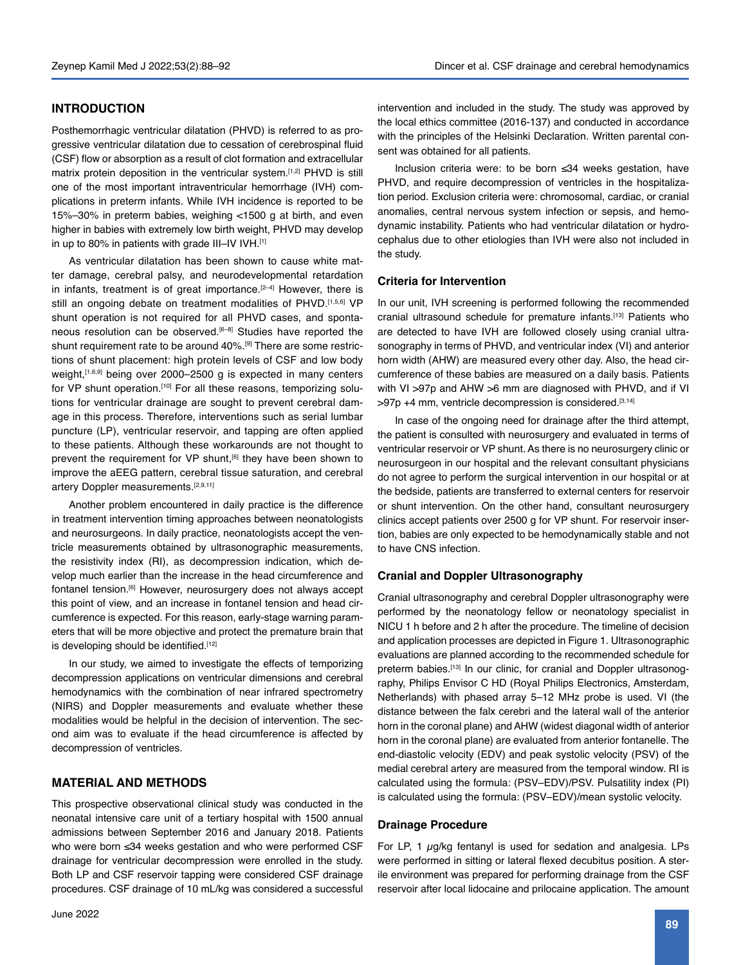# **INTRODUCTION**

Posthemorrhagic ventricular dilatation (PHVD) is referred to as progressive ventricular dilatation due to cessation of cerebrospinal fluid (CSF) flow or absorption as a result of clot formation and extracellular matrix protein deposition in the ventricular system.[1,2] PHVD is still one of the most important intraventricular hemorrhage (IVH) complications in preterm infants. While IVH incidence is reported to be 15%–30% in preterm babies, weighing <1500 g at birth, and even higher in babies with extremely low birth weight, PHVD may develop in up to 80% in patients with grade III–IV IVH.[1]

As ventricular dilatation has been shown to cause white matter damage, cerebral palsy, and neurodevelopmental retardation in infants, treatment is of great importance.<sup>[2–4]</sup> However, there is still an ongoing debate on treatment modalities of PHVD.[1,5,6] VP shunt operation is not required for all PHVD cases, and spontaneous resolution can be observed.<sup>[6-8]</sup> Studies have reported the shunt requirement rate to be around 40%.<sup>[9]</sup> There are some restrictions of shunt placement: high protein levels of CSF and low body weight, [1,6,9] being over 2000-2500 g is expected in many centers for VP shunt operation.<sup>[10]</sup> For all these reasons, temporizing solutions for ventricular drainage are sought to prevent cerebral damage in this process. Therefore, interventions such as serial lumbar puncture (LP), ventricular reservoir, and tapping are often applied to these patients. Although these workarounds are not thought to prevent the requirement for VP shunt,<sup>[6]</sup> they have been shown to improve the aEEG pattern, cerebral tissue saturation, and cerebral artery Doppler measurements.<sup>[2,9,11]</sup>

Another problem encountered in daily practice is the difference in treatment intervention timing approaches between neonatologists and neurosurgeons. In daily practice, neonatologists accept the ventricle measurements obtained by ultrasonographic measurements, the resistivity index (RI), as decompression indication, which develop much earlier than the increase in the head circumference and fontanel tension.[6] However, neurosurgery does not always accept this point of view, and an increase in fontanel tension and head circumference is expected. For this reason, early-stage warning parameters that will be more objective and protect the premature brain that is developing should be identified.<sup>[12]</sup>

In our study, we aimed to investigate the effects of temporizing decompression applications on ventricular dimensions and cerebral hemodynamics with the combination of near infrared spectrometry (NIRS) and Doppler measurements and evaluate whether these modalities would be helpful in the decision of intervention. The second aim was to evaluate if the head circumference is affected by decompression of ventricles.

# **MATERIAL AND METHODS**

This prospective observational clinical study was conducted in the neonatal intensive care unit of a tertiary hospital with 1500 annual admissions between September 2016 and January 2018. Patients who were born ≤34 weeks gestation and who were performed CSF drainage for ventricular decompression were enrolled in the study. Both LP and CSF reservoir tapping were considered CSF drainage procedures. CSF drainage of 10 mL/kg was considered a successful intervention and included in the study. The study was approved by the local ethics committee (2016-137) and conducted in accordance with the principles of the Helsinki Declaration. Written parental consent was obtained for all patients.

Inclusion criteria were: to be born ≤34 weeks gestation, have PHVD, and require decompression of ventricles in the hospitalization period. Exclusion criteria were: chromosomal, cardiac, or cranial anomalies, central nervous system infection or sepsis, and hemodynamic instability. Patients who had ventricular dilatation or hydrocephalus due to other etiologies than IVH were also not included in the study.

## **Criteria for Intervention**

In our unit, IVH screening is performed following the recommended cranial ultrasound schedule for premature infants.[13] Patients who are detected to have IVH are followed closely using cranial ultrasonography in terms of PHVD, and ventricular index (VI) and anterior horn width (AHW) are measured every other day. Also, the head circumference of these babies are measured on a daily basis. Patients with VI >97p and AHW >6 mm are diagnosed with PHVD, and if VI >97p +4 mm, ventricle decompression is considered.<sup>[3,14]</sup>

In case of the ongoing need for drainage after the third attempt, the patient is consulted with neurosurgery and evaluated in terms of ventricular reservoir or VP shunt. As there is no neurosurgery clinic or neurosurgeon in our hospital and the relevant consultant physicians do not agree to perform the surgical intervention in our hospital or at the bedside, patients are transferred to external centers for reservoir or shunt intervention. On the other hand, consultant neurosurgery clinics accept patients over 2500 g for VP shunt. For reservoir insertion, babies are only expected to be hemodynamically stable and not to have CNS infection.

### **Cranial and Doppler Ultrasonography**

Cranial ultrasonography and cerebral Doppler ultrasonography were performed by the neonatology fellow or neonatology specialist in NICU 1 h before and 2 h after the procedure. The timeline of decision and application processes are depicted in Figure 1. Ultrasonographic evaluations are planned according to the recommended schedule for preterm babies.<sup>[13]</sup> In our clinic, for cranial and Doppler ultrasonography, Philips Envisor C HD (Royal Philips Electronics, Amsterdam, Netherlands) with phased array 5–12 MHz probe is used. VI (the distance between the falx cerebri and the lateral wall of the anterior horn in the coronal plane) and AHW (widest diagonal width of anterior horn in the coronal plane) are evaluated from anterior fontanelle. The end-diastolic velocity (EDV) and peak systolic velocity (PSV) of the medial cerebral artery are measured from the temporal window. RI is calculated using the formula: (PSV–EDV)/PSV. Pulsatility index (PI) is calculated using the formula: (PSV–EDV)/mean systolic velocity.

#### **Drainage Procedure**

For LP, 1  $\mu$ g/kg fentanyl is used for sedation and analgesia. LPs were performed in sitting or lateral flexed decubitus position. A sterile environment was prepared for performing drainage from the CSF reservoir after local lidocaine and prilocaine application. The amount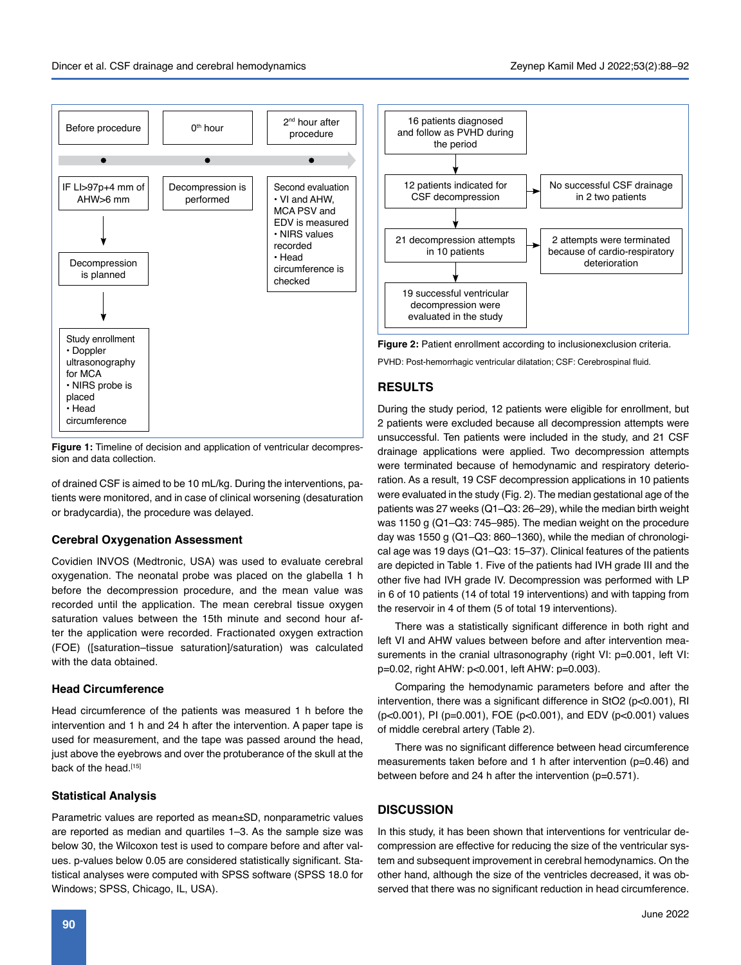

**Figure 1:** Timeline of decision and application of ventricular decompression and data collection.

of drained CSF is aimed to be 10 mL/kg. During the interventions, patients were monitored, and in case of clinical worsening (desaturation or bradycardia), the procedure was delayed.

#### **Cerebral Oxygenation Assessment**

Covidien INVOS (Medtronic, USA) was used to evaluate cerebral oxygenation. The neonatal probe was placed on the glabella 1 h before the decompression procedure, and the mean value was recorded until the application. The mean cerebral tissue oxygen saturation values between the 15th minute and second hour after the application were recorded. Fractionated oxygen extraction (FOE) ([saturation–tissue saturation]/saturation) was calculated with the data obtained.

## **Head Circumference**

Head circumference of the patients was measured 1 h before the intervention and 1 h and 24 h after the intervention. A paper tape is used for measurement, and the tape was passed around the head, just above the eyebrows and over the protuberance of the skull at the back of the head.[15]

#### **Statistical Analysis**

Parametric values are reported as mean±SD, nonparametric values are reported as median and quartiles 1–3. As the sample size was below 30, the Wilcoxon test is used to compare before and after values. p-values below 0.05 are considered statistically significant. Statistical analyses were computed with SPSS software (SPSS 18.0 for Windows; SPSS, Chicago, IL, USA).



**Figure 2:** Patient enrollment according to inclusionexclusion criteria.

PVHD: Post-hemorrhagic ventricular dilatation; CSF: Cerebrospinal fluid.

## **RESULTS**

During the study period, 12 patients were eligible for enrollment, but 2 patients were excluded because all decompression attempts were unsuccessful. Ten patients were included in the study, and 21 CSF drainage applications were applied. Two decompression attempts were terminated because of hemodynamic and respiratory deterioration. As a result, 19 CSF decompression applications in 10 patients were evaluated in the study (Fig. 2). The median gestational age of the patients was 27 weeks (Q1–Q3: 26–29), while the median birth weight was 1150 g (Q1–Q3: 745–985). The median weight on the procedure day was 1550 g (Q1–Q3: 860–1360), while the median of chronological age was 19 days (Q1–Q3: 15–37). Clinical features of the patients are depicted in Table 1. Five of the patients had IVH grade III and the other five had IVH grade IV. Decompression was performed with LP in 6 of 10 patients (14 of total 19 interventions) and with tapping from the reservoir in 4 of them (5 of total 19 interventions).

There was a statistically significant difference in both right and left VI and AHW values between before and after intervention measurements in the cranial ultrasonography (right VI: p=0.001, left VI: p=0.02, right AHW: p<0.001, left AHW: p=0.003).

Comparing the hemodynamic parameters before and after the intervention, there was a significant difference in StO2 (p<0.001), RI (p<0.001), PI (p=0.001), FOE (p<0.001), and EDV (p<0.001) values of middle cerebral artery (Table 2).

There was no significant difference between head circumference measurements taken before and 1 h after intervention (p=0.46) and between before and 24 h after the intervention (p=0.571).

## **DISCUSSION**

In this study, it has been shown that interventions for ventricular decompression are effective for reducing the size of the ventricular system and subsequent improvement in cerebral hemodynamics. On the other hand, although the size of the ventricles decreased, it was observed that there was no significant reduction in head circumference.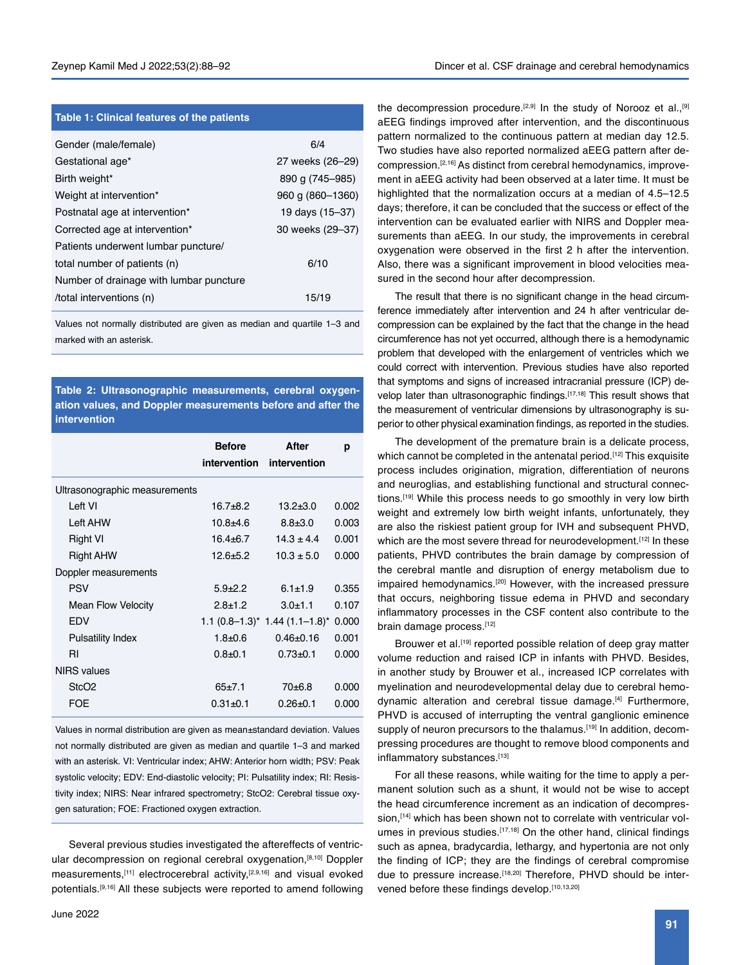# **Table 1: Clinical features of the patients**

| Gender (male/female)                    | 6/4              |
|-----------------------------------------|------------------|
| Gestational age*                        | 27 weeks (26-29) |
| Birth weight*                           | 890 g (745–985)  |
| Weight at intervention*                 | 960 g (860-1360) |
| Postnatal age at intervention*          | 19 days (15–37)  |
| Corrected age at intervention*          | 30 weeks (29-37) |
| Patients underwent lumbar puncture/     |                  |
| total number of patients (n)            | 6/10             |
| Number of drainage with lumbar puncture |                  |
| /total interventions (n)                | 15/19            |
|                                         |                  |

Values not normally distributed are given as median and quartile 1–3 and marked with an asterisk.

**Table 2: Ultrasonographic measurements, cerebral oxygenation values, and Doppler measurements before and after the intervention**

|                               | <b>Before</b>  | After<br>intervention intervention | р     |
|-------------------------------|----------------|------------------------------------|-------|
| Ultrasonographic measurements |                |                                    |       |
| Left VI                       | $16.7 + 8.2$   | $13.2 + 3.0$                       | 0.002 |
| <b>Left AHW</b>               | $10.8 + 4.6$   | $8.8 \pm 3.0$                      | 0.003 |
| <b>Right VI</b>               | $16.4 \pm 6.7$ | $14.3 + 4.4$                       | 0.001 |
| Right AHW                     | $12.6 + 5.2$   | $10.3 \pm 5.0$                     | 0.000 |
| Doppler measurements          |                |                                    |       |
| <b>PSV</b>                    | $5.9 + 2.2$    | $6.1 \pm 1.9$                      | 0.355 |
| <b>Mean Flow Velocity</b>     | $2.8 + 1.2$    | $3.0 + 1.1$                        | 0.107 |
| <b>EDV</b>                    |                | $1.1$ (0.8–1.3)* 1.44 (1.1–1.8)*   | 0.000 |
| <b>Pulsatility Index</b>      | $1.8 \pm 0.6$  | $0.46 \pm 0.16$                    | 0.001 |
| RI                            | $0.8 + 0.1$    | $0.73 \pm 0.1$                     | 0.000 |
| <b>NIRS</b> values            |                |                                    |       |
| StcO <sub>2</sub>             | $65+7.1$       | 70±6.8                             | 0.000 |
| FOE                           | $0.31 + 0.1$   | $0.26 \pm 0.1$                     | 0.000 |
|                               |                |                                    |       |

Values in normal distribution are given as mean±standard deviation. Values not normally distributed are given as median and quartile 1–3 and marked with an asterisk. VI: Ventricular index; AHW: Anterior horn width; PSV: Peak systolic velocity; EDV: End-diastolic velocity; PI: Pulsatility index; RI: Resistivity index; NIRS: Near infrared spectrometry; StcO2: Cerebral tissue oxygen saturation; FOE: Fractioned oxygen extraction.

Several previous studies investigated the aftereffects of ventricular decompression on regional cerebral oxygenation,<sup>[8,10]</sup> Doppler measurements,[11] electrocerebral activity,[2,9,16] and visual evoked potentials.[9,16] All these subjects were reported to amend following

the decompression procedure.<sup>[2,9]</sup> In the study of Norooz et al.,<sup>[9]</sup> aEEG findings improved after intervention, and the discontinuous pattern normalized to the continuous pattern at median day 12.5. Two studies have also reported normalized aEEG pattern after decompression.[2,16] As distinct from cerebral hemodynamics, improvement in aEEG activity had been observed at a later time. It must be highlighted that the normalization occurs at a median of 4.5–12.5 days; therefore, it can be concluded that the success or effect of the intervention can be evaluated earlier with NIRS and Doppler measurements than aEEG. In our study, the improvements in cerebral oxygenation were observed in the first 2 h after the intervention. Also, there was a significant improvement in blood velocities measured in the second hour after decompression.

The result that there is no significant change in the head circumference immediately after intervention and 24 h after ventricular decompression can be explained by the fact that the change in the head circumference has not yet occurred, although there is a hemodynamic problem that developed with the enlargement of ventricles which we could correct with intervention. Previous studies have also reported that symptoms and signs of increased intracranial pressure (ICP) develop later than ultrasonographic findings.<sup>[17,18]</sup> This result shows that the measurement of ventricular dimensions by ultrasonography is superior to other physical examination findings, as reported in the studies.

The development of the premature brain is a delicate process, which cannot be completed in the antenatal period.<sup>[12]</sup> This exquisite process includes origination, migration, differentiation of neurons and neuroglias, and establishing functional and structural connections.<sup>[19]</sup> While this process needs to go smoothly in very low birth weight and extremely low birth weight infants, unfortunately, they are also the riskiest patient group for IVH and subsequent PHVD, which are the most severe thread for neurodevelopment.<sup>[12]</sup> In these patients, PHVD contributes the brain damage by compression of the cerebral mantle and disruption of energy metabolism due to impaired hemodynamics.<sup>[20]</sup> However, with the increased pressure that occurs, neighboring tissue edema in PHVD and secondary inflammatory processes in the CSF content also contribute to the brain damage process.[12]

Brouwer et al.<sup>[19]</sup> reported possible relation of deep gray matter volume reduction and raised ICP in infants with PHVD. Besides, in another study by Brouwer et al., increased ICP correlates with myelination and neurodevelopmental delay due to cerebral hemodynamic alteration and cerebral tissue damage.<sup>[4]</sup> Furthermore, PHVD is accused of interrupting the ventral ganglionic eminence supply of neuron precursors to the thalamus.<sup>[19]</sup> In addition, decompressing procedures are thought to remove blood components and inflammatory substances.[13]

For all these reasons, while waiting for the time to apply a permanent solution such as a shunt, it would not be wise to accept the head circumference increment as an indication of decompression, [14] which has been shown not to correlate with ventricular volumes in previous studies.  $[17,18]$  On the other hand, clinical findings such as apnea, bradycardia, lethargy, and hypertonia are not only the finding of ICP; they are the findings of cerebral compromise due to pressure increase.<sup>[18,20]</sup> Therefore, PHVD should be intervened before these findings develop.[10,13,20]